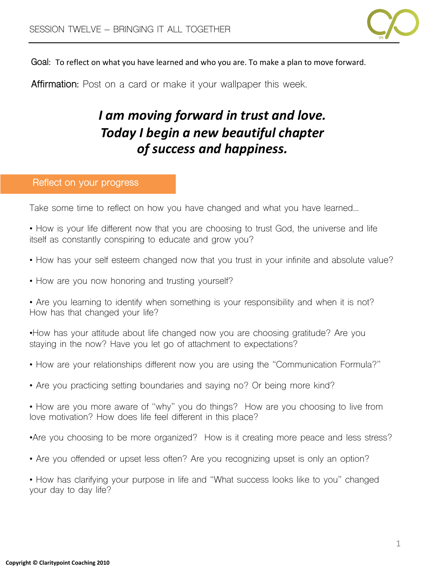

Goal: To reflect on what you have learned and who you are. To make a plan to move forward.

**Affirmation:** Post on a card or make it your wallpaper this week.

## *I* am moving forward in trust and love. *Today I begin a new beautiful chapter of success and happiness.*

## **Reflect on your progress**

Take some time to reflect on how you have changed and what you have learned…

• How is your life different now that you are choosing to trust God, the universe and life itself as constantly conspiring to educate and grow you?

- How has your self esteem changed now that you trust in your infinite and absolute value?
- How are you now honoring and trusting yourself?

• Are you learning to identify when something is your responsibility and when it is not? How has that changed your life?

•How has your attitude about life changed now you are choosing gratitude? Are you staying in the now? Have you let go of attachment to expectations?

- How are your relationships different now you are using the "Communication Formula?"
- Are you practicing setting boundaries and saying no? Or being more kind?
- How are you more aware of "why" you do things? How are you choosing to live from love motivation? How does life feel different in this place?
- •Are you choosing to be more organized? How is it creating more peace and less stress?
- Are you offended or upset less often? Are you recognizing upset is only an option?
- How has clarifying your purpose in life and "What success looks like to you" changed your day to day life?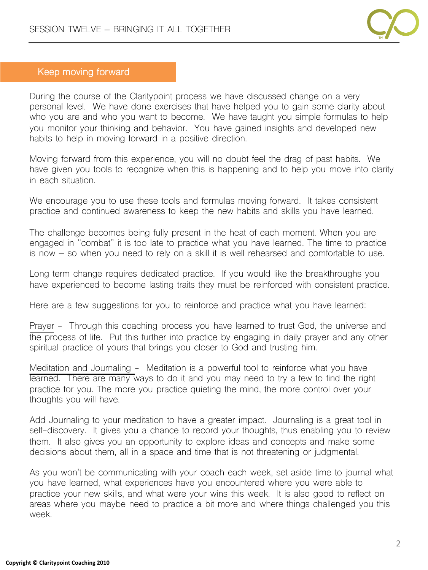

## **Keep moving forward**

During the course of the Claritypoint process we have discussed change on a very personal level. We have done exercises that have helped you to gain some clarity about who you are and who you want to become. We have taught you simple formulas to help you monitor your thinking and behavior. You have gained insights and developed new habits to help in moving forward in a positive direction.

Moving forward from this experience, you will no doubt feel the drag of past habits. We have given you tools to recognize when this is happening and to help you move into clarity in each situation.

We encourage you to use these tools and formulas moving forward. It takes consistent practice and continued awareness to keep the new habits and skills you have learned.

The challenge becomes being fully present in the heat of each moment. When you are engaged in "combat" it is too late to practice what you have learned. The time to practice is now – so when you need to rely on a skill it is well rehearsed and comfortable to use.

Long term change requires dedicated practice. If you would like the breakthroughs you have experienced to become lasting traits they must be reinforced with consistent practice.

Here are a few suggestions for you to reinforce and practice what you have learned:

Prayer - Through this coaching process you have learned to trust God, the universe and the process of life. Put this further into practice by engaging in daily prayer and any other spiritual practice of yours that brings you closer to God and trusting him.

Meditation and Journaling - Meditation is a powerful tool to reinforce what you have learned. There are many ways to do it and you may need to try a few to find the right practice for you. The more you practice quieting the mind, the more control over your thoughts you will have.

Add Journaling to your meditation to have a greater impact. Journaling is a great tool in self-discovery. It gives you a chance to record your thoughts, thus enabling you to review them. It also gives you an opportunity to explore ideas and concepts and make some decisions about them, all in a space and time that is not threatening or judgmental.

As you won't be communicating with your coach each week, set aside time to journal what you have learned, what experiences have you encountered where you were able to practice your new skills, and what were your wins this week. It is also good to reflect on areas where you maybe need to practice a bit more and where things challenged you this week.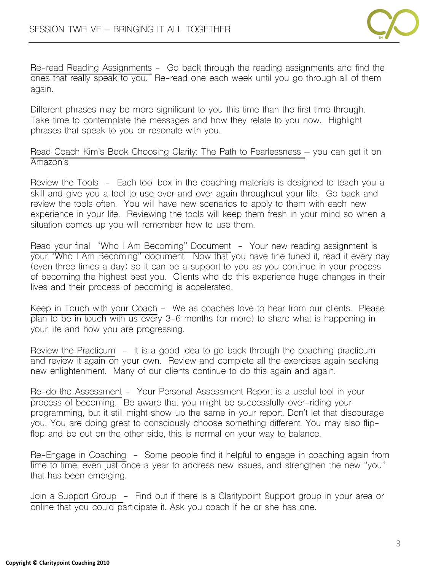

Re-read Reading Assignments - Go back through the reading assignments and find the ones that really speak to you. Re-read one each week until you go through all of them again.

Different phrases may be more significant to you this time than the first time through. Take time to contemplate the messages and how they relate to you now. Highlight phrases that speak to you or resonate with you.

Read Coach Kim's Book Choosing Clarity: The Path to Fearlessness – you can get it on Amazon's

Review the Tools - Each tool box in the coaching materials is designed to teach you a skill and give you a tool to use over and over again throughout your life. Go back and review the tools often. You will have new scenarios to apply to them with each new experience in your life. Reviewing the tools will keep them fresh in your mind so when a situation comes up you will remember how to use them.

Read your final "Who I Am Becoming" Document - Your new reading assignment is your "Who I Am Becoming" document. Now that you have fine tuned it, read it every day (even three times a day) so it can be a support to you as you continue in your process of becoming the highest best you. Clients who do this experience huge changes in their lives and their process of becoming is accelerated.

Keep in Touch with your Coach - We as coaches love to hear from our clients. Please plan to be in touch with us every 3-6 months (or more) to share what is happening in your life and how you are progressing.

Review the Practicum - It is a good idea to go back through the coaching practicum and review it again on your own. Review and complete all the exercises again seeking new enlightenment. Many of our clients continue to do this again and again.

Re-do the Assessment - Your Personal Assessment Report is a useful tool in your process of becoming. Be aware that you might be successfully over-riding your programming, but it still might show up the same in your report. Don't let that discourage you. You are doing great to consciously choose something different. You may also flipflop and be out on the other side, this is normal on your way to balance.

Re-Engage in Coaching - Some people find it helpful to engage in coaching again from time to time, even just once a year to address new issues, and strengthen the new "you" that has been emerging.

Join a Support Group - Find out if there is a Claritypoint Support group in your area or online that you could participate it. Ask you coach if he or she has one.